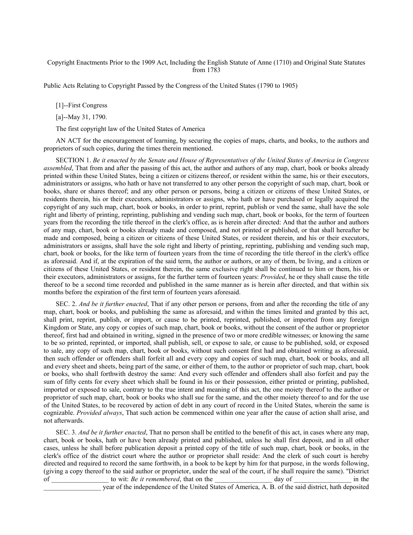Copyright Enactments Prior to the 1909 Act, Including the English Statute of Anne (1710) and Original State Statutes from 1783

Public Acts Relating to Copyright Passed by the Congress of the United States (1790 to 1905)

[1]--First Congress

[a]--May 31, 1790.

The first copyright law of the United States of America

AN ACT for the encouragement of learning, by securing the copies of maps, charts, and books, to the authors and proprietors of such copies, during the times therein mentioned.

SECTION 1. *Be it enacted by the Senate and House of Representatives of the United States of America in Congress assembled*, That from and after the passing of this act, the author and authors of any map, chart, book or books already printed within these United States, being a citizen or citizens thereof, or resident within the same, his or their executors, administrators or assigns, who hath or have not transferred to any other person the copyright of such map, chart, book or books, share or shares thereof; and any other person or persons, being a citizen or citizens of these United States, or residents therein, his or their executors, administrators or assigns, who hath or have purchased or legally acquired the copyright of any such map, chart, book or books, in order to print, reprint, publish or vend the same, shall have the sole right and liberty of printing, reprinting, publishing and vending such map, chart, book or books, for the term of fourteen years from the recording the title thereof in the clerk's office, as is herein after directed: And that the author and authors of any map, chart, book or books already made and composed, and not printed or published, or that shall hereafter be made and composed, being a citizen or citizens of these United States, or resident therein, and his or their executors, administrators or assigns, shall have the sole right and liberty of printing, reprinting, publishing and vending such map, chart, book or books, for the like term of fourteen years from the time of recording the title thereof in the clerk's office as aforesaid. And if, at the expiration of the said term, the author or authors, or any of them, be living, and a citizen or citizens of these United States, or resident therein, the same exclusive right shall be continued to him or them, his or their executors, administrators or assigns, for the further term of fourteen years: *Provided*, he or they shall cause the title thereof to be a second time recorded and published in the same manner as is herein after directed, and that within six months before the expiration of the first term of fourteen years aforesaid.

SEC. 2. *And be it further enacted*, That if any other person or persons, from and after the recording the title of any map, chart, book or books, and publishing the same as aforesaid, and within the times limited and granted by this act, shall print, reprint, publish, or import, or cause to be printed, reprinted, published, or imported from any foreign Kingdom or State, any copy or copies of such map, chart, book or books, without the consent of the author or proprietor thereof, first had and obtained in writing, signed in the presence of two or more credible witnesses; or knowing the same to be so printed, reprinted, or imported, shall publish, sell, or expose to sale, or cause to be published, sold, or exposed to sale, any copy of such map, chart, book or books, without such consent first had and obtained writing as aforesaid, then such offender or offenders shall forfeit all and every copy and copies of such map, chart, book or books, and all and every sheet and sheets, being part of the same, or either of them, to the author or proprietor of such map, chart, book or books, who shall forthwith destroy the same: And every such offender and offenders shall also forfeit and pay the sum of fifty cents for every sheet which shall be found in his or their possession, either printed or printing, published, imported or exposed to sale, contrary to the true intent and meaning of this act, the one moiety thereof to the author or proprietor of such map, chart, book or books who shall sue for the same, and the other moiety thereof to and for the use of the United States, to be recovered by action of debt in any court of record in the United States, wherein the same is cognizable. *Provided always*, That such action be commenced within one year after the cause of action shall arise, and not afterwards.

SEC. 3. *And be it further enacted*, That no person shall be entitled to the benefit of this act, in cases where any map, chart, book or books, hath or have been already printed and published, unless he shall first deposit, and in all other cases, unless he shall before publication deposit a printed copy of the title of such map, chart, book or books, in the clerk's office of the district court where the author or proprietor shall reside: And the clerk of such court is hereby directed and required to record the same forthwith, in a book to be kept by him for that purpose, in the words following, (giving a copy thereof to the said author or proprietor, under the seal of the court, if he shall require the same). ''District of to wit: *Be it remembered*, that on the day of in the day of  $\frac{1}{2}$ \_\_\_\_\_\_\_\_\_\_\_\_\_\_\_\_\_ year of the independence of the United States of America, A. B. of the said district, hath deposited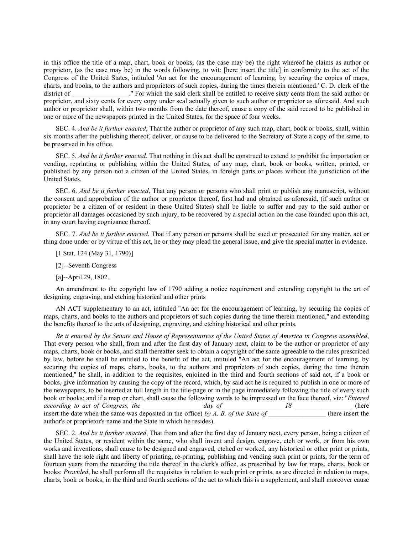in this office the title of a map, chart, book or books, (as the case may be) the right whereof he claims as author or proprietor, (as the case may be) in the words following, to wit: [here insert the title] in conformity to the act of the Congress of the United States, intituled 'An act for the encouragement of learning, by securing the copies of maps, charts, and books, to the authors and proprietors of such copies, during the times therein mentioned.' C. D. clerk of the district of Text Text Text which the said clerk shall be entitled to receive sixty cents from the said author or proprietor, and sixty cents for every copy under seal actually given to such author or proprietor as aforesaid. And such author or proprietor shall, within two months from the date thereof, cause a copy of the said record to be published in one or more of the newspapers printed in the United States, for the space of four weeks.

SEC. 4. *And be it further enacted*, That the author or proprietor of any such map, chart, book or books, shall, within six months after the publishing thereof, deliver, or cause to be delivered to the Secretary of State a copy of the same, to be preserved in his office.

SEC. 5. *And be it further enacted*, That nothing in this act shall be construed to extend to prohibit the importation or vending, reprinting or publishing within the United States, of any map, chart, book or books, written, printed, or published by any person not a citizen of the United States, in foreign parts or places without the jurisdiction of the United States.

SEC. 6. *And be it further enacted*, That any person or persons who shall print or publish any manuscript, without the consent and approbation of the author or proprietor thereof, first had and obtained as aforesaid, (if such author or proprietor be a citizen of or resident in these United States) shall be liable to suffer and pay to the said author or proprietor all damages occasioned by such injury, to be recovered by a special action on the case founded upon this act, in any court having cognizance thereof.

SEC. 7. *And be it further enacted*, That if any person or persons shall be sued or prosecuted for any matter, act or thing done under or by virtue of this act, he or they may plead the general issue, and give the special matter in evidence.

[1 Stat. 124 (May 31, 1790)]

[2]--Seventh Congress

[a]--April 29, 1802.

An amendment to the copyright law of 1790 adding a notice requirement and extending copyright to the art of designing, engraving, and etching historical and other prints

AN ACT supplementary to an act, intituled ''An act for the encouragement of learning, by securing the copies of maps, charts, and books to the authors and proprietors of such copies during the time therein mentioned,'' and extending the benefits thereof to the arts of designing, engraving, and etching historical and other prints.

*Be it enacted by the Senate and House of Representatives of the United States of America in Congress assembled*, That every person who shall, from and after the first day of January next, claim to be the author or proprietor of any maps, charts, book or books, and shall thereafter seek to obtain a copyright of the same agreeable to the rules prescribed by law, before he shall be entitled to the benefit of the act, intituled ''An act for the encouragement of learning, by securing the copies of maps, charts, books, to the authors and proprietors of such copies, during the time therein mentioned,'' he shall, in addition to the requisites, enjoined in the third and fourth sections of said act, if a book or books, give information by causing the copy of the record, which, by said act he is required to publish in one or more of the newspapers, to be inserted at full length in the title-page or in the page immediately following the title of every such book or books; and if a map or chart, shall cause the following words to be impressed on the face thereof, viz: ''*Entered according to act of Congress, the \_\_\_\_\_\_\_\_\_\_\_\_\_\_\_\_\_ day of \_\_\_\_\_\_\_\_\_\_\_\_\_\_\_\_\_ 18 \_\_\_\_\_\_\_\_\_\_\_\_\_\_\_\_\_* (here insert the date when the same was deposited in the office) *by A. B. of the State of* (here insert the author's or proprietor's name and the State in which he resides).

SEC. 2. *And be it further enacted*, That from and after the first day of January next, every person, being a citizen of the United States, or resident within the same, who shall invent and design, engrave, etch or work, or from his own works and inventions, shall cause to be designed and engraved, etched or worked, any historical or other print or prints, shall have the sole right and liberty of printing, re-printing, publishing and vending such print or prints, for the term of fourteen years from the recording the title thereof in the clerk's office, as prescribed by law for maps, charts, book or books: *Provided*, he shall perform all the requisites in relation to such print or prints, as are directed in relation to maps, charts, book or books, in the third and fourth sections of the act to which this is a supplement, and shall moreover cause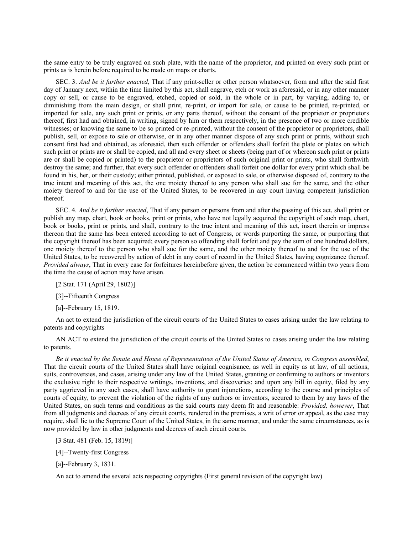the same entry to be truly engraved on such plate, with the name of the proprietor, and printed on every such print or prints as is herein before required to be made on maps or charts.

SEC. 3. *And be it further enacted*, That if any print-seller or other person whatsoever, from and after the said first day of January next, within the time limited by this act, shall engrave, etch or work as aforesaid, or in any other manner copy or sell, or cause to be engraved, etched, copied or sold, in the whole or in part, by varying, adding to, or diminishing from the main design, or shall print, re-print, or import for sale, or cause to be printed, re-printed, or imported for sale, any such print or prints, or any parts thereof, without the consent of the proprietor or proprietors thereof, first had and obtained, in writing, signed by him or them respectively, in the presence of two or more credible witnesses; or knowing the same to be so printed or re-printed, without the consent of the proprietor or proprietors, shall publish, sell, or expose to sale or otherwise, or in any other manner dispose of any such print or prints, without such consent first had and obtained, as aforesaid, then such offender or offenders shall forfeit the plate or plates on which such print or prints are or shall be copied, and all and every sheet or sheets (being part of or whereon such print or prints are or shall be copied or printed) to the proprietor or proprietors of such original print or prints, who shall forthwith destroy the same; and further, that every such offender or offenders shall forfeit one dollar for every print which shall be found in his, her, or their custody; either printed, published, or exposed to sale, or otherwise disposed of, contrary to the true intent and meaning of this act, the one moiety thereof to any person who shall sue for the same, and the other moiety thereof to and for the use of the United States, to be recovered in any court having competent jurisdiction thereof.

SEC. 4. *And be it further enacted*, That if any person or persons from and after the passing of this act, shall print or publish any map, chart, book or books, print or prints, who have not legally acquired the copyright of such map, chart, book or books, print or prints, and shall, contrary to the true intent and meaning of this act, insert therein or impress thereon that the same has been entered according to act of Congress, or words purporting the same, or purporting that the copyright thereof has been acquired; every person so offending shall forfeit and pay the sum of one hundred dollars, one moiety thereof to the person who shall sue for the same, and the other moiety thereof to and for the use of the United States, to be recovered by action of debt in any court of record in the United States, having cognizance thereof. *Provided always*, That in every case for forfeitures hereinbefore given, the action be commenced within two years from the time the cause of action may have arisen.

[2 Stat. 171 (April 29, 1802)]

[3]--Fifteenth Congress

[a]--February 15, 1819.

An act to extend the jurisdiction of the circuit courts of the United States to cases arising under the law relating to patents and copyrights

AN ACT to extend the jurisdiction of the circuit courts of the United States to cases arising under the law relating to patents.

*Be it enacted by the Senate and House of Representatives of the United States of America, in Congress assembled*, That the circuit courts of the United States shall have original cognisance, as well in equity as at law, of all actions, suits, controversies, and cases, arising under any law of the United States, granting or confirming to authors or inventors the exclusive right to their respective writings, inventions, and discoveries: and upon any bill in equity, filed by any party aggrieved in any such cases, shall have authority to grant injunctions, according to the course and principles of courts of equity, to prevent the violation of the rights of any authors or inventors, secured to them by any laws of the United States, on such terms and conditions as the said courts may deem fit and reasonable: *Provided, however*, That from all judgments and decrees of any circuit courts, rendered in the premises, a writ of error or appeal, as the case may require, shall lie to the Supreme Court of the United States, in the same manner, and under the same circumstances, as is now provided by law in other judgments and decrees of such circuit courts.

[3 Stat. 481 (Feb. 15, 1819)]

[4]--Twenty-first Congress

[a]--February 3, 1831.

An act to amend the several acts respecting copyrights (First general revision of the copyright law)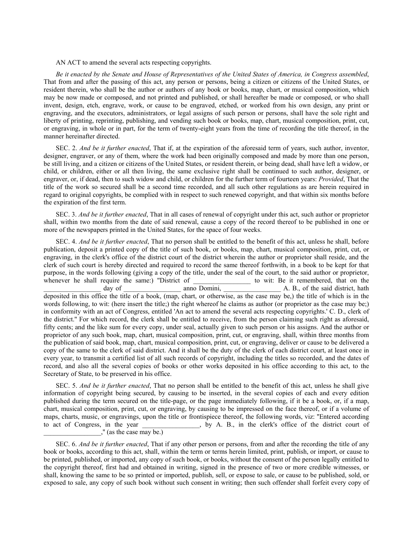### AN ACT to amend the several acts respecting copyrights.

*Be it enacted by the Senate and House of Representatives of the United States of America, in Congress assembled*, That from and after the passing of this act, any person or persons, being a citizen or citizens of the United States, or resident therein, who shall be the author or authors of any book or books, map, chart, or musical composition, which may be now made or composed, and not printed and published, or shall hereafter be made or composed, or who shall invent, design, etch, engrave, work, or cause to be engraved, etched, or worked from his own design, any print or engraving, and the executors, administrators, or legal assigns of such person or persons, shall have the sole right and liberty of printing, reprinting, publishing, and vending such book or books, map, chart, musical composition, print, cut, or engraving, in whole or in part, for the term of twenty-eight years from the time of recording the title thereof, in the manner hereinafter directed.

SEC. 2. *And be it further enacted*, That if, at the expiration of the aforesaid term of years, such author, inventor, designer, engraver, or any of them, where the work had been originally composed and made by more than one person, be still living, and a citizen or citizens of the United States, or resident therein, or being dead, shall have left a widow, or child, or children, either or all then living, the same exclusive right shall be continued to such author, designer, or engraver, or, if dead, then to such widow and child, or children for the further term of fourteen years: *Provided*, That the title of the work so secured shall be a second time recorded, and all such other regulations as are herein required in regard to original copyrights, be complied with in respect to such renewed copyright, and that within six months before the expiration of the first term.

SEC. 3. *And be it further enacted*, That in all cases of renewal of copyright under this act, such author or proprietor shall, within two months from the date of said renewal, cause a copy of the record thereof to be published in one or more of the newspapers printed in the United States, for the space of four weeks.

SEC. 4. *And be it further enacted*, That no person shall be entitled to the benefit of this act, unless he shall, before publication, deposit a printed copy of the title of such book, or books, map, chart, musical composition, print, cut, or engraving, in the clerk's office of the district court of the district wherein the author or proprietor shall reside, and the clerk of such court is hereby directed and required to record the same thereof forthwith, in a book to be kept for that purpose, in the words following (giving a copy of the title, under the seal of the court, to the said author or proprietor, whenever he shall require the same:) "District of \_\_\_\_\_\_\_\_\_\_\_\_\_\_\_\_\_ day of \_\_\_\_\_\_\_\_\_\_\_\_\_\_\_\_\_ anno Domini, \_\_\_\_\_\_\_\_\_\_\_\_\_\_\_\_\_ A. B., of the said district, hath deposited in this office the title of a book, (map, chart, or otherwise, as the case may be,) the title of which is in the words following, to wit: (here insert the title;) the right whereof he claims as author (or proprietor as the case may be;) in conformity with an act of Congress, entitled 'An act to amend the several acts respecting copyrights.' C. D., clerk of the district.'' For which record, the clerk shall be entitled to receive, from the person claiming such right as aforesaid, fifty cents; and the like sum for every copy, under seal, actually given to such person or his assigns. And the author or proprietor of any such book, map, chart, musical composition, print, cut, or engraving, shall, within three months from the publication of said book, map, chart, musical composition, print, cut, or engraving, deliver or cause to be delivered a copy of the same to the clerk of said district. And it shall be the duty of the clerk of each district court, at least once in every year, to transmit a certified list of all such records of copyright, including the titles so recorded, and the dates of record, and also all the several copies of books or other works deposited in his office according to this act, to the Secretary of State, to be preserved in his office.

SEC. 5. *And be it further enacted*, That no person shall be entitled to the benefit of this act, unless he shall give information of copyright being secured, by causing to be inserted, in the several copies of each and every edition published during the term secured on the title-page, or the page immediately following, if it be a book, or, if a map, chart, musical composition, print, cut, or engraving, by causing to be impressed on the face thereof, or if a volume of maps, charts, music, or engravings, upon the title or frontispiece thereof, the following words, viz: ''Entered according to act of Congress, in the year \_\_\_\_\_\_\_\_\_\_\_\_\_\_\_\_\_, by A. B., in the clerk's office of the district court of  $\cdot$ " (as the case may be.)

SEC. 6. *And be it further enacted*, That if any other person or persons, from and after the recording the title of any book or books, according to this act, shall, within the term or terms herein limited, print, publish, or import, or cause to be printed, published, or imported, any copy of such book, or books, without the consent of the person legally entitled to the copyright thereof, first had and obtained in writing, signed in the presence of two or more credible witnesses, or shall, knowing the same to be so printed or imported, publish, sell, or expose to sale, or cause to be published, sold, or exposed to sale, any copy of such book without such consent in writing; then such offender shall forfeit every copy of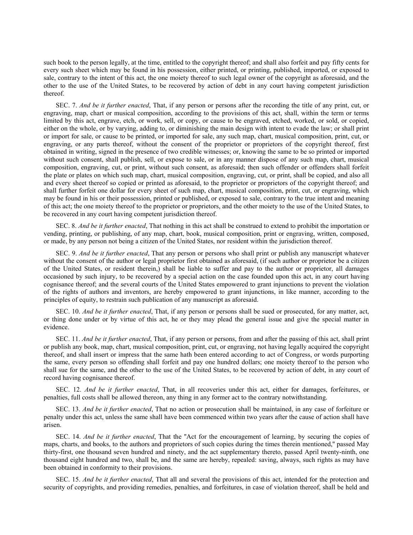such book to the person legally, at the time, entitled to the copyright thereof; and shall also forfeit and pay fifty cents for every such sheet which may be found in his possession, either printed, or printing, published, imported, or exposed to sale, contrary to the intent of this act, the one moiety thereof to such legal owner of the copyright as aforesaid, and the other to the use of the United States, to be recovered by action of debt in any court having competent jurisdiction thereof.

SEC. 7. *And be it further enacted*, That, if any person or persons after the recording the title of any print, cut, or engraving, map, chart or musical composition, according to the provisions of this act, shall, within the term or terms limited by this act, engrave, etch, or work, sell, or copy, or cause to be engraved, etched, worked, or sold, or copied, either on the whole, or by varying, adding to, or diminishing the main design with intent to evade the law; or shall print or import for sale, or cause to be printed, or imported for sale, any such map, chart, musical composition, print, cut, or engraving, or any parts thereof, without the consent of the proprietor or proprietors of the copyright thereof, first obtained in writing, signed in the presence of two credible witnesses; or, knowing the same to be so printed or imported without such consent, shall publish, sell, or expose to sale, or in any manner dispose of any such map, chart, musical composition, engraving, cut, or print, without such consent, as aforesaid; then such offender or offenders shall forfeit the plate or plates on which such map, chart, musical composition, engraving, cut, or print, shall be copied, and also all and every sheet thereof so copied or printed as aforesaid, to the proprietor or proprietors of the copyright thereof; and shall further forfeit one dollar for every sheet of such map, chart, musical composition, print, cut, or engraving, which may be found in his or their possession, printed or published, or exposed to sale, contrary to the true intent and meaning of this act; the one moiety thereof to the proprietor or proprietors, and the other moiety to the use of the United States, to be recovered in any court having competent jurisdiction thereof.

SEC. 8. *And be it further enacted*, That nothing in this act shall be construed to extend to prohibit the importation or vending, printing, or publishing, of any map, chart, book, musical composition, print or engraving, written, composed, or made, by any person not being a citizen of the United States, nor resident within the jurisdiction thereof.

SEC. 9. *And be it further enacted*, That any person or persons who shall print or publish any manuscript whatever without the consent of the author or legal proprietor first obtained as aforesaid, (if such author or proprietor be a citizen of the United States, or resident therein,) shall be liable to suffer and pay to the author or proprietor, all damages occasioned by such injury, to be recovered by a special action on the case founded upon this act, in any court having cognisance thereof; and the several courts of the United States empowered to grant injunctions to prevent the violation of the rights of authors and inventors, are hereby empowered to grant injunctions, in like manner, according to the principles of equity, to restrain such publication of any manuscript as aforesaid.

SEC. 10. *And be it further enacted*, That, if any person or persons shall be sued or prosecuted, for any matter, act, or thing done under or by virtue of this act, he or they may plead the general issue and give the special matter in evidence.

SEC. 11. *And be it further enacted*, That, if any person or persons, from and after the passing of this act, shall print or publish any book, map, chart, musical composition, print, cut, or engraving, not having legally acquired the copyright thereof, and shall insert or impress that the same hath been entered according to act of Congress, or words purporting the same, every person so offending shall forfeit and pay one hundred dollars; one moiety thereof to the person who shall sue for the same, and the other to the use of the United States, to be recovered by action of debt, in any court of record having cognisance thereof.

SEC. 12. *And be it further enacted*, That, in all recoveries under this act, either for damages, forfeitures, or penalties, full costs shall be allowed thereon, any thing in any former act to the contrary notwithstanding.

SEC. 13. *And be it further enacted*, That no action or prosecution shall be maintained, in any case of forfeiture or penalty under this act, unless the same shall have been commenced within two years after the cause of action shall have arisen.

SEC. 14. *And be it further enacted*, That the ''Act for the encouragement of learning, by securing the copies of maps, charts, and books, to the authors and proprietors of such copies during the times therein mentioned,'' passed May thirty-first, one thousand seven hundred and ninety, and the act supplementary thereto, passed April twenty-ninth, one thousand eight hundred and two, shall be, and the same are hereby, repealed: saving, always, such rights as may have been obtained in conformity to their provisions.

SEC. 15. *And be it further enacted*, That all and several the provisions of this act, intended for the protection and security of copyrights, and providing remedies, penalties, and forfeitures, in case of violation thereof, shall be held and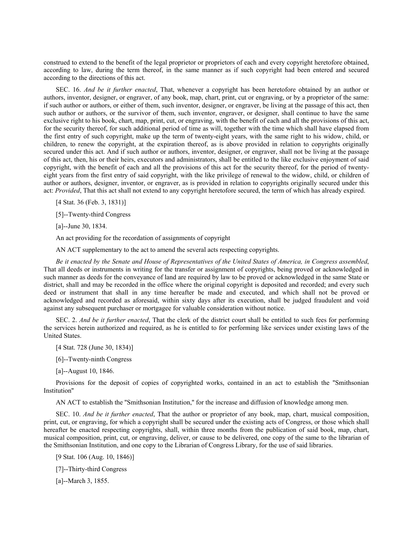construed to extend to the benefit of the legal proprietor or proprietors of each and every copyright heretofore obtained, according to law, during the term thereof, in the same manner as if such copyright had been entered and secured according to the directions of this act.

SEC. 16. *And be it further enacted*, That, whenever a copyright has been heretofore obtained by an author or authors, inventor, designer, or engraver, of any book, map, chart, print, cut or engraving, or by a proprietor of the same: if such author or authors, or either of them, such inventor, designer, or engraver, be living at the passage of this act, then such author or authors, or the survivor of them, such inventor, engraver, or designer, shall continue to have the same exclusive right to his book, chart, map, print, cut, or engraving, with the benefit of each and all the provisions of this act, for the security thereof, for such additional period of time as will, together with the time which shall have elapsed from the first entry of such copyright, make up the term of twenty-eight years, with the same right to his widow, child, or children, to renew the copyright, at the expiration thereof, as is above provided in relation to copyrights originally secured under this act. And if such author or authors, inventor, designer, or engraver, shall not be living at the passage of this act, then, his or their heirs, executors and administrators, shall be entitled to the like exclusive enjoyment of said copyright, with the benefit of each and all the provisions of this act for the security thereof, for the period of twentyeight years from the first entry of said copyright, with the like privilege of renewal to the widow, child, or children of author or authors, designer, inventor, or engraver, as is provided in relation to copyrights originally secured under this act: *Provided*, That this act shall not extend to any copyright heretofore secured, the term of which has already expired.

[4 Stat. 36 (Feb. 3, 1831)]

[5]--Twenty-third Congress

[a]--June 30, 1834.

An act providing for the recordation of assignments of copyright

AN ACT supplementary to the act to amend the several acts respecting copyrights.

*Be it enacted by the Senate and House of Representatives of the United States of America, in Congress assembled*, That all deeds or instruments in writing for the transfer or assignment of copyrights, being proved or acknowledged in such manner as deeds for the conveyance of land are required by law to be proved or acknowledged in the same State or district, shall and may be recorded in the office where the original copyright is deposited and recorded; and every such deed or instrument that shall in any time hereafter be made and executed, and which shall not be proved or acknowledged and recorded as aforesaid, within sixty days after its execution, shall be judged fraudulent and void against any subsequent purchaser or mortgagee for valuable consideration without notice.

SEC. 2. *And be it further enacted*, That the clerk of the district court shall be entitled to such fees for performing the services herein authorized and required, as he is entitled to for performing like services under existing laws of the United States.

[4 Stat. 728 (June 30, 1834)]

[6]--Twenty-ninth Congress

[a]--August 10, 1846.

Provisions for the deposit of copies of copyrighted works, contained in an act to establish the ''Smithsonian Institution''

AN ACT to establish the ''Smithsonian Institution,'' for the increase and diffusion of knowledge among men.

SEC. 10. *And be it further enacted*, That the author or proprietor of any book, map, chart, musical composition, print, cut, or engraving, for which a copyright shall be secured under the existing acts of Congress, or those which shall hereafter be enacted respecting copyrights, shall, within three months from the publication of said book, map, chart, musical composition, print, cut, or engraving, deliver, or cause to be delivered, one copy of the same to the librarian of the Smithsonian Institution, and one copy to the Librarian of Congress Library, for the use of said libraries.

[9 Stat. 106 (Aug. 10, 1846)]

[7]--Thirty-third Congress

[a]--March 3, 1855.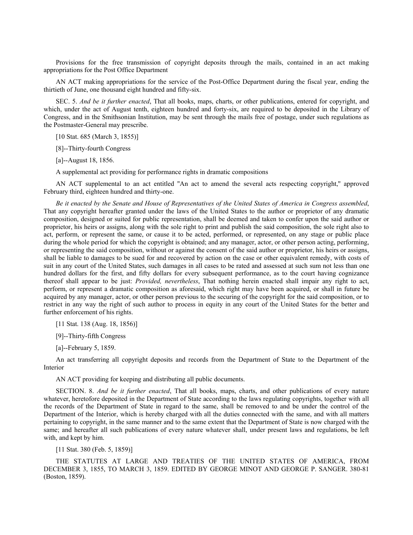Provisions for the free transmission of copyright deposits through the mails, contained in an act making appropriations for the Post Office Department

AN ACT making appropriations for the service of the Post-Office Department during the fiscal year, ending the thirtieth of June, one thousand eight hundred and fifty-six.

SEC. 5. *And be it further enacted*, That all books, maps, charts, or other publications, entered for copyright, and which, under the act of August tenth, eighteen hundred and forty-six, are required to be deposited in the Library of Congress, and in the Smithsonian Institution, may be sent through the mails free of postage, under such regulations as the Postmaster-General may prescribe.

[10 Stat. 685 (March 3, 1855)]

[8]--Thirty-fourth Congress

[a]--August 18, 1856.

A supplemental act providing for performance rights in dramatic compositions

AN ACT supplemental to an act entitled ''An act to amend the several acts respecting copyright,'' approved February third, eighteen hundred and thirty-one.

*Be it enacted by the Senate and House of Representatives of the United States of America in Congress assembled*, That any copyright hereafter granted under the laws of the United States to the author or proprietor of any dramatic composition, designed or suited for public representation, shall be deemed and taken to confer upon the said author or proprietor, his heirs or assigns, along with the sole right to print and publish the said composition, the sole right also to act, perform, or represent the same, or cause it to be acted, performed, or represented, on any stage or public place during the whole period for which the copyright is obtained; and any manager, actor, or other person acting, performing, or representing the said composition, without or against the consent of the said author or proprietor, his heirs or assigns, shall be liable to damages to be sued for and recovered by action on the case or other equivalent remedy, with costs of suit in any court of the United States, such damages in all cases to be rated and assessed at such sum not less than one hundred dollars for the first, and fifty dollars for every subsequent performance, as to the court having cognizance thereof shall appear to be just: *Provided, nevertheless*, That nothing herein enacted shall impair any right to act, perform, or represent a dramatic composition as aforesaid, which right may have been acquired, or shall in future be acquired by any manager, actor, or other person previous to the securing of the copyright for the said composition, or to restrict in any way the right of such author to process in equity in any court of the United States for the better and further enforcement of his rights.

[11 Stat. 138 (Aug. 18, 1856)]

[9]--Thirty-fifth Congress

[a]--February 5, 1859.

An act transferring all copyright deposits and records from the Department of State to the Department of the Interior

AN ACT providing for keeping and distributing all public documents.

SECTION. 8. *And be it further enacted*, That all books, maps, charts, and other publications of every nature whatever, heretofore deposited in the Department of State according to the laws regulating copyrights, together with all the records of the Department of State in regard to the same, shall be removed to and be under the control of the Department of the Interior, which is hereby charged with all the duties connected with the same, and with all matters pertaining to copyright, in the same manner and to the same extent that the Department of State is now charged with the same; and hereafter all such publications of every nature whatever shall, under present laws and regulations, be left with, and kept by him.

[11 Stat. 380 (Feb. 5, 1859)]

THE STATUTES AT LARGE AND TREATIES OF THE UNITED STATES OF AMERICA, FROM DECEMBER 3, 1855, TO MARCH 3, 1859. EDITED BY GEORGE MINOT AND GEORGE P. SANGER. 380-81 (Boston, 1859).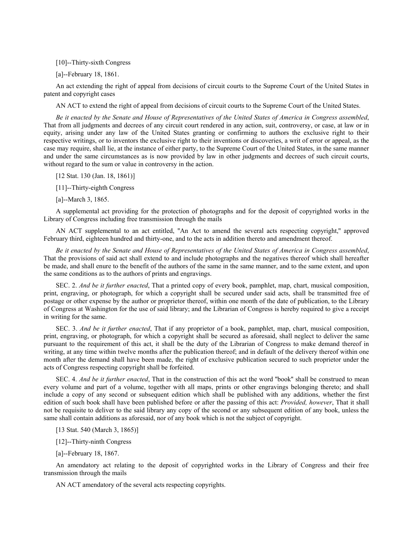[10]--Thirty-sixth Congress

[a]--February 18, 1861.

An act extending the right of appeal from decisions of circuit courts to the Supreme Court of the United States in patent and copyright cases

AN ACT to extend the right of appeal from decisions of circuit courts to the Supreme Court of the United States.

*Be it enacted by the Senate and House of Representatives of the United States of America in Congress assembled*, That from all judgments and decrees of any circuit court rendered in any action, suit, controversy, or case, at law or in equity, arising under any law of the United States granting or confirming to authors the exclusive right to their respective writings, or to inventors the exclusive right to their inventions or discoveries, a writ of error or appeal, as the case may require, shall lie, at the instance of either party, to the Supreme Court of the United States, in the same manner and under the same circumstances as is now provided by law in other judgments and decrees of such circuit courts, without regard to the sum or value in controversy in the action.

[12 Stat. 130 (Jan. 18, 1861)]

[11]--Thirty-eighth Congress

[a]--March 3, 1865.

A supplemental act providing for the protection of photographs and for the deposit of copyrighted works in the Library of Congress including free transmission through the mails

AN ACT supplemental to an act entitled, ''An Act to amend the several acts respecting copyright,'' approved February third, eighteen hundred and thirty-one, and to the acts in addition thereto and amendment thereof.

*Be it enacted by the Senate and House of Representatives of the United States of America in Congress assembled*, That the provisions of said act shall extend to and include photographs and the negatives thereof which shall hereafter be made, and shall enure to the benefit of the authors of the same in the same manner, and to the same extent, and upon the same conditions as to the authors of prints and engravings.

SEC. 2. *And be it further enacted*, That a printed copy of every book, pamphlet, map, chart, musical composition, print, engraving, or photograph, for which a copyright shall be secured under said acts, shall be transmitted free of postage or other expense by the author or proprietor thereof, within one month of the date of publication, to the Library of Congress at Washington for the use of said library; and the Librarian of Congress is hereby required to give a receipt in writing for the same.

SEC. 3. *And be it further enacted*, That if any proprietor of a book, pamphlet, map, chart, musical composition, print, engraving, or photograph, for which a copyright shall be secured as aforesaid, shall neglect to deliver the same pursuant to the requirement of this act, it shall be the duty of the Librarian of Congress to make demand thereof in writing, at any time within twelve months after the publication thereof; and in default of the delivery thereof within one month after the demand shall have been made, the right of exclusive publication secured to such proprietor under the acts of Congress respecting copyright shall be forfeited.

SEC. 4. *And be it further enacted*, That in the construction of this act the word ''book'' shall be construed to mean every volume and part of a volume, together with all maps, prints or other engravings belonging thereto; and shall include a copy of any second or subsequent edition which shall be published with any additions, whether the first edition of such book shall have been published before or after the passing of this act: *Provided, however*, That it shall not be requisite to deliver to the said library any copy of the second or any subsequent edition of any book, unless the same shall contain additions as aforesaid, nor of any book which is not the subject of copyright.

[13 Stat. 540 (March 3, 1865)]

[12]--Thirty-ninth Congress

[a]--February 18, 1867.

An amendatory act relating to the deposit of copyrighted works in the Library of Congress and their free transmission through the mails

AN ACT amendatory of the several acts respecting copyrights.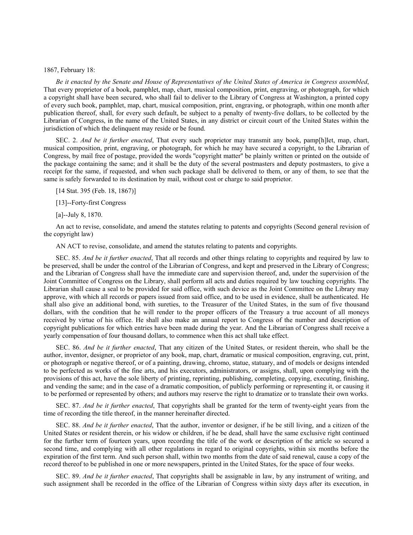#### 1867, February 18:

*Be it enacted by the Senate and House of Representatives of the United States of America in Congress assembled*, That every proprietor of a book, pamphlet, map, chart, musical composition, print, engraving, or photograph, for which a copyright shall have been secured, who shall fail to deliver to the Library of Congress at Washington, a printed copy of every such book, pamphlet, map, chart, musical composition, print, engraving, or photograph, within one month after publication thereof, shall, for every such default, be subject to a penalty of twenty-five dollars, to be collected by the Librarian of Congress, in the name of the United States, in any district or circuit court of the United States within the jurisdiction of which the delinquent may reside or be found.

SEC. 2. *And be it further enacted*, That every such proprietor may transmit any book, pamp[h]let, map, chart, musical composition, print, engraving, or photograph, for which he may have secured a copyright, to the Librarian of Congress, by mail free of postage, provided the words ''copyright matter'' be plainly written or printed on the outside of the package containing the same; and it shall be the duty of the several postmasters and deputy postmasters, to give a receipt for the same, if requested, and when such package shall be delivered to them, or any of them, to see that the same is safely forwarded to its destination by mail, without cost or charge to said proprietor.

[14 Stat. 395 (Feb. 18, 1867)]

[13]--Forty-first Congress

[a]--July 8, 1870.

An act to revise, consolidate, and amend the statutes relating to patents and copyrights (Second general revision of the copyright law)

AN ACT to revise, consolidate, and amend the statutes relating to patents and copyrights.

SEC. 85. *And be it further enacted*, That all records and other things relating to copyrights and required by law to be preserved, shall be under the control of the Librarian of Congress, and kept and preserved in the Library of Congress; and the Librarian of Congress shall have the immediate care and supervision thereof, and, under the supervision of the Joint Committee of Congress on the Library, shall perform all acts and duties required by law touching copyrights. The Librarian shall cause a seal to be provided for said office, with such device as the Joint Committee on the Library may approve, with which all records or papers issued from said office, and to be used in evidence, shall be authenticated. He shall also give an additional bond, with sureties, to the Treasurer of the United States, in the sum of five thousand dollars, with the condition that he will render to the proper officers of the Treasury a true account of all moneys received by virtue of his office. He shall also make an annual report to Congress of the number and description of copyright publications for which entries have been made during the year. And the Librarian of Congress shall receive a yearly compensation of four thousand dollars, to commence when this act shall take effect.

SEC. 86. *And be it further enacted*, That any citizen of the United States, or resident therein, who shall be the author, inventor, designer, or proprietor of any book, map, chart, dramatic or musical composition, engraving, cut, print, or photograph or negative thereof, or of a painting, drawing, chromo, statue, statuary, and of models or designs intended to be perfected as works of the fine arts, and his executors, administrators, or assigns, shall, upon complying with the provisions of this act, have the sole liberty of printing, reprinting, publishing, completing, copying, executing, finishing, and vending the same; and in the case of a dramatic composition, of publicly performing or representing it, or causing it to be performed or represented by others; and authors may reserve the right to dramatize or to translate their own works.

SEC. 87. *And be it further enacted*, That copyrights shall be granted for the term of twenty-eight years from the time of recording the title thereof, in the manner hereinafter directed.

SEC. 88. *And be it further enacted*, That the author, inventor or designer, if he be still living, and a citizen of the United States or resident therein, or his widow or children, if he be dead, shall have the same exclusive right continued for the further term of fourteen years, upon recording the title of the work or description of the article so secured a second time, and complying with all other regulations in regard to original copyrights, within six months before the expiration of the first term. And such person shall, within two months from the date of said renewal, cause a copy of the record thereof to be published in one or more newspapers, printed in the United States, for the space of four weeks.

SEC. 89. *And be it further enacted*, That copyrights shall be assignable in law, by any instrument of writing, and such assignment shall be recorded in the office of the Librarian of Congress within sixty days after its execution, in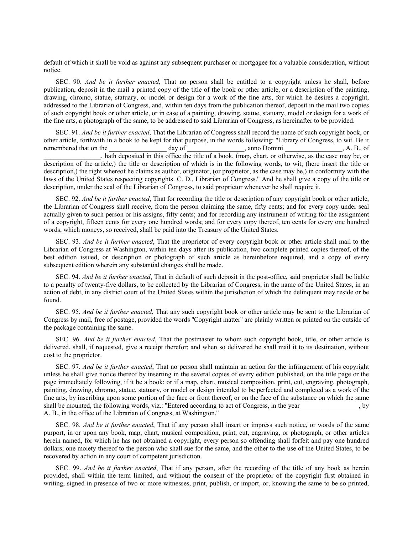default of which it shall be void as against any subsequent purchaser or mortgagee for a valuable consideration, without notice.

SEC. 90. *And be it further enacted*, That no person shall be entitled to a copyright unless he shall, before publication, deposit in the mail a printed copy of the title of the book or other article, or a description of the painting, drawing, chromo, statue, statuary, or model or design for a work of the fine arts, for which he desires a copyright, addressed to the Librarian of Congress, and, within ten days from the publication thereof, deposit in the mail two copies of such copyright book or other article, or in case of a painting, drawing, statue, statuary, model or design for a work of the fine arts, a photograph of the same, to be addressed to said Librarian of Congress, as hereinafter to be provided.

SEC. 91. *And be it further enacted*, That the Librarian of Congress shall record the name of such copyright book, or other article, forthwith in a book to be kept for that purpose, in the words following: ''Library of Congress, to wit. Be it remembered that on the day of day of anno Domini and A. B., of \_\_\_\_\_\_\_\_\_\_\_\_\_\_\_\_\_, hath deposited in this office the title of a book, (map, chart, or otherwise, as the case may be, or description of the article,) the title or description of which is in the following words, to wit; (here insert the title or description,) the right whereof he claims as author, originator, (or proprietor, as the case may be,) in conformity with the laws of the United States respecting copyrights. C. D., Librarian of Congress.'' And he shall give a copy of the title or description, under the seal of the Librarian of Congress, to said proprietor whenever he shall require it.

SEC. 92. *And be it further enacted*, That for recording the title or description of any copyright book or other article, the Librarian of Congress shall receive, from the person claiming the same, fifty cents; and for every copy under seal actually given to such person or his assigns, fifty cents; and for recording any instrument of writing for the assignment of a copyright, fifteen cents for every one hundred words; and for every copy thereof, ten cents for every one hundred words, which moneys, so received, shall be paid into the Treasury of the United States.

SEC. 93. *And be it further enacted*, That the proprietor of every copyright book or other article shall mail to the Librarian of Congress at Washington, within ten days after its publication, two complete printed copies thereof, of the best edition issued, or description or photograph of such article as hereinbefore required, and a copy of every subsequent edition wherein any substantial changes shall be made.

SEC. 94. *And be it further enacted*, That in default of such deposit in the post-office, said proprietor shall be liable to a penalty of twenty-five dollars, to be collected by the Librarian of Congress, in the name of the United States, in an action of debt, in any district court of the United States within the jurisdiction of which the delinquent may reside or be found.

SEC. 95. *And be it further enacted*, That any such copyright book or other article may be sent to the Librarian of Congress by mail, free of postage, provided the words ''Copyright matter'' are plainly written or printed on the outside of the package containing the same.

SEC. 96. *And be it further enacted*, That the postmaster to whom such copyright book, title, or other article is delivered, shall, if requested, give a receipt therefor; and when so delivered he shall mail it to its destination, without cost to the proprietor.

SEC. 97. *And be it further enacted*, That no person shall maintain an action for the infringement of his copyright unless he shall give notice thereof by inserting in the several copies of every edition published, on the title page or the page immediately following, if it be a book; or if a map, chart, musical composition, print, cut, engraving, photograph, painting, drawing, chromo, statue, statuary, or model or design intended to be perfected and completed as a work of the fine arts, by inscribing upon some portion of the face or front thereof, or on the face of the substance on which the same shall be mounted, the following words, viz.: "Entered according to act of Congress, in the year  $\qquad \qquad$ , by A. B., in the office of the Librarian of Congress, at Washington.''

SEC. 98. *And be it further enacted*, That if any person shall insert or impress such notice, or words of the same purport, in or upon any book, map, chart, musical composition, print, cut, engraving, or photograph, or other articles herein named, for which he has not obtained a copyright, every person so offending shall forfeit and pay one hundred dollars; one moiety thereof to the person who shall sue for the same, and the other to the use of the United States, to be recovered by action in any court of competent jurisdiction.

SEC. 99. *And be it further enacted*, That if any person, after the recording of the title of any book as herein provided, shall within the term limited, and without the consent of the proprietor of the copyright first obtained in writing, signed in presence of two or more witnesses, print, publish, or import, or, knowing the same to be so printed,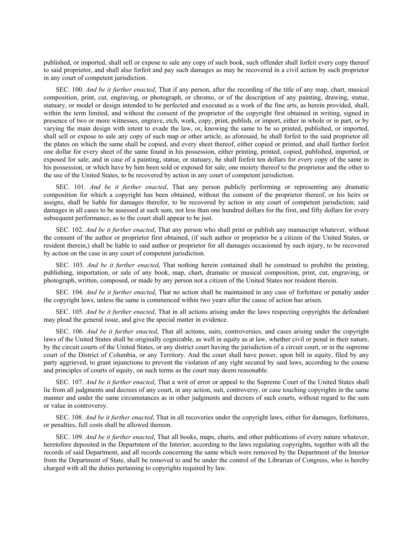published, or imported, shall sell or expose to sale any copy of such book, such offender shall forfeit every copy thereof to said proprietor, and shall also forfeit and pay such damages as may be recovered in a civil action by such proprietor in any court of competent jurisdiction.

SEC. 100. *And be it further enacted*, That if any person, after the recording of the title of any map, chart, musical composition, print, cut, engraving, or photograph, or chromo, or of the description of any painting, drawing, statue, statuary, or model or design intended to be perfected and executed as a work of the fine arts, as herein provided, shall, within the term limited, and without the consent of the proprietor of the copyright first obtained in writing, signed in presence of two or more witnesses, engrave, etch, work, copy, print, publish, or import, either in whole or in part, or by varying the main design with intent to evade the law, or, knowing the same to be so printed, published, or imported, shall sell or expose to sale any copy of such map or other article, as aforesaid, he shall forfeit to the said proprietor all the plates on which the same shall be copied, and every sheet thereof, either copied or printed, and shall further forfeit one dollar for every sheet of the same found in his possession, either printing, printed, copied, published, imported, or exposed for sale; and in case of a painting, statue, or statuary, he shall forfeit ten dollars for every copy of the same in his possession, or which have by him been sold or exposed for sale; one moiety thereof to the proprietor and the other to the use of the United States, to be recovered by action in any court of competent jurisdiction.

SEC. 101. *And be it further enacted*, That any person publicly performing or representing any dramatic composition for which a copyright has been obtained, without the consent of the proprietor thereof, or his heirs or assigns, shall be liable for damages therefor, to be recovered by action in any court of competent jurisdiction; said damages in all cases to be assessed at such sum, not less than one hundred dollars for the first, and fifty dollars for every subsequent performance, as to the court shall appear to be just.

SEC. 102. *And be it further enacted*, That any person who shall print or publish any manuscript whatever, without the consent of the author or proprietor first obtained, (if such author or proprietor be a citizen of the United States, or resident therein,) shall be liable to said author or proprietor for all damages occasioned by such injury, to be recovered by action on the case in any court of competent jurisdiction.

SEC. 103. *And be it further enacted*, That nothing herein contained shall be construed to prohibit the printing, publishing, importation, or sale of any book, map, chart, dramatic or musical composition, print, cut, engraving, or photograph, written, composed, or made by any person not a citizen of the United States nor resident therein.

SEC. 104. *And be it further enacted*, That no action shall be maintained in any case of forfeiture or penalty under the copyright laws, unless the same is commenced within two years after the cause of action has arisen.

SEC. 105. *And be it further enacted*, That in all actions arising under the laws respecting copyrights the defendant may plead the general issue, and give the special matter in evidence.

SEC. 106. *And be it further enacted*, That all actions, suits, controversies, and cases arising under the copyright laws of the United States shall be originally cognizable, as well in equity as at law, whether civil or penal in their nature, by the circuit courts of the United States, or any district court having the jurisdiction of a circuit court, or in the supreme court of the District of Columbia, or any Territory. And the court shall have power, upon bill in equity, filed by any party aggrieved, to grant injunctions to prevent the violation of any right secured by said laws, according to the course and principles of courts of equity, on such terms as the court may deem reasonable.

SEC. 107. *And be it further enacted*, That a writ of error or appeal to the Supreme Court of the United States shall lie from all judgments and decrees of any court, in any action, suit, controversy, or case touching copyrights in the same manner and under the same circumstances as in other judgments and decrees of such courts, without regard to the sum or value in controversy.

SEC. 108. *And be it further enacted*, That in all recoveries under the copyright laws, either for damages, forfeitures, or penalties, full costs shall be allowed thereon.

SEC. 109. *And be it further enacted*, That all books, maps, charts, and other publications of every nature whatever, heretofore deposited in the Department of the Interior, according to the laws regulating copyrights, together with all the records of said Department, and all records concerning the same which were removed by the Department of the Interior from the Department of State, shall be removed to and be under the control of the Librarian of Congress, who is hereby charged with all the duties pertaining to copyrights required by law.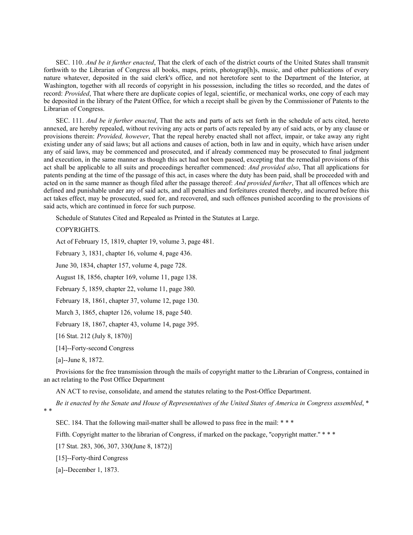SEC. 110. *And be it further enacted*, That the clerk of each of the district courts of the United States shall transmit forthwith to the Librarian of Congress all books, maps, prints, photograp[h]s, music, and other publications of every nature whatever, deposited in the said clerk's office, and not heretofore sent to the Department of the Interior, at Washington, together with all records of copyright in his possession, including the titles so recorded, and the dates of record: *Provided*, That where there are duplicate copies of legal, scientific, or mechanical works, one copy of each may be deposited in the library of the Patent Office, for which a receipt shall be given by the Commissioner of Patents to the Librarian of Congress.

SEC. 111. *And be it further enacted*, That the acts and parts of acts set forth in the schedule of acts cited, hereto annexed, are hereby repealed, without reviving any acts or parts of acts repealed by any of said acts, or by any clause or provisions therein: *Provided, however*, That the repeal hereby enacted shall not affect, impair, or take away any right existing under any of said laws; but all actions and causes of action, both in law and in equity, which have arisen under any of said laws, may be commenced and prosecuted, and if already commenced may be prosecuted to final judgment and execution, in the same manner as though this act had not been passed, excepting that the remedial provisions of this act shall be applicable to all suits and proceedings hereafter commenced: *And provided also*, That all applications for patents pending at the time of the passage of this act, in cases where the duty has been paid, shall be proceeded with and acted on in the same manner as though filed after the passage thereof: *And provided further*, That all offences which are defined and punishable under any of said acts, and all penalties and forfeitures created thereby, and incurred before this act takes effect, may be prosecuted, sued for, and recovered, and such offences punished according to the provisions of said acts, which are continued in force for such purpose.

Schedule of Statutes Cited and Repealed as Printed in the Statutes at Large.

COPYRIGHTS.

Act of February 15, 1819, chapter 19, volume 3, page 481.

February 3, 1831, chapter 16, volume 4, page 436.

June 30, 1834, chapter 157, volume 4, page 728.

August 18, 1856, chapter 169, volume 11, page 138.

February 5, 1859, chapter 22, volume 11, page 380.

February 18, 1861, chapter 37, volume 12, page 130.

March 3, 1865, chapter 126, volume 18, page 540.

February 18, 1867, chapter 43, volume 14, page 395.

[16 Stat. 212 (July 8, 1870)]

[14]--Forty-second Congress

[a]--June 8, 1872.

Provisions for the free transmission through the mails of copyright matter to the Librarian of Congress, contained in an act relating to the Post Office Department

AN ACT to revise, consolidate, and amend the statutes relating to the Post-Office Department.

*Be it enacted by the Senate and House of Representatives of the United States of America in Congress assembled*, \* \* \*

SEC. 184. That the following mail-matter shall be allowed to pass free in the mail: \* \* \*

Fifth. Copyright matter to the librarian of Congress, if marked on the package, "copyright matter." \* \* \*

[17 Stat. 283, 306, 307, 330(June 8, 1872)]

[15]--Forty-third Congress

[a]--December 1, 1873.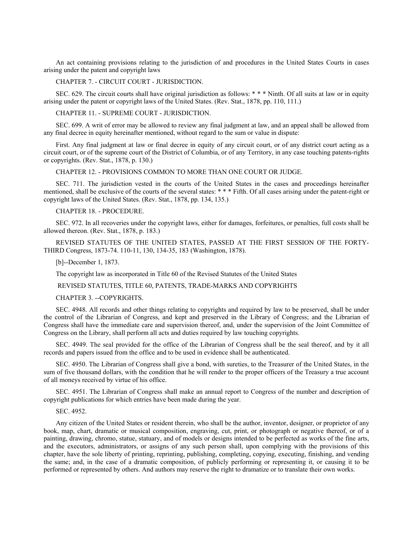An act containing provisions relating to the jurisdiction of and procedures in the United States Courts in cases arising under the patent and copyright laws

CHAPTER 7. - CIRCUIT COURT - JURISDICTION.

SEC. 629. The circuit courts shall have original jurisdiction as follows: \*\*\* Ninth. Of all suits at law or in equity arising under the patent or copyright laws of the United States. (Rev. Stat., 1878, pp. 110, 111.)

CHAPTER 11. - SUPREME COURT - JURISDICTION.

SEC. 699. A writ of error may be allowed to review any final judgment at law, and an appeal shall be allowed from any final decree in equity hereinafter mentioned, without regard to the sum or value in dispute:

First. Any final judgment at law or final decree in equity of any circuit court, or of any district court acting as a circuit court, or of the supreme court of the District of Columbia, or of any Territory, in any case touching patents-rights or copyrights. (Rev. Stat., 1878, p. 130.)

CHAPTER 12. - PROVISIONS COMMON TO MORE THAN ONE COURT OR JUDGE.

SEC. 711. The jurisdiction vested in the courts of the United States in the cases and proceedings hereinafter mentioned, shall be exclusive of the courts of the several states: \* \* \* Fifth. Of all cases arising under the patent-right or copyright laws of the United States. (Rev. Stat., 1878, pp. 134, 135.)

CHAPTER 18. - PROCEDURE.

SEC. 972. In all recoveries under the copyright laws, either for damages, forfeitures, or penalties, full costs shall be allowed thereon. (Rev. Stat., 1878, p. 183.)

REVISED STATUTES OF THE UNITED STATES, PASSED AT THE FIRST SESSION OF THE FORTY-THIRD Congress, 1873-74. 110-11, 130, 134-35, 183 (Washington, 1878).

[b]--December 1, 1873.

The copyright law as incorporated in Title 60 of the Revised Statutes of the United States

REVISED STATUTES, TITLE 60, PATENTS, TRADE-MARKS AND COPYRIGHTS

CHAPTER 3. --COPYRIGHTS.

SEC. 4948. All records and other things relating to copyrights and required by law to be preserved, shall be under the control of the Librarian of Congress, and kept and preserved in the Library of Congress; and the Librarian of Congress shall have the immediate care and supervision thereof, and, under the supervision of the Joint Committee of Congress on the Library, shall perform all acts and duties required by law touching copyrights.

SEC. 4949. The seal provided for the office of the Librarian of Congress shall be the seal thereof, and by it all records and papers issued from the office and to be used in evidence shall be authenticated.

SEC. 4950. The Librarian of Congress shall give a bond, with sureties, to the Treasurer of the United States, in the sum of five thousand dollars, with the condition that he will render to the proper officers of the Treasury a true account of all moneys received by virtue of his office.

SEC. 4951. The Librarian of Congress shall make an annual report to Congress of the number and description of copyright publications for which entries have been made during the year.

#### SEC. 4952.

Any citizen of the United States or resident therein, who shall be the author, inventor, designer, or proprietor of any book, map, chart, dramatic or musical composition, engraving, cut, print, or photograph or negative thereof, or of a painting, drawing, chromo, statue, statuary, and of models or designs intended to be perfected as works of the fine arts, and the executors, administrators, or assigns of any such person shall, upon complying with the provisions of this chapter, have the sole liberty of printing, reprinting, publishing, completing, copying, executing, finishing, and vending the same; and, in the case of a dramatic composition, of publicly performing or representing it, or causing it to be performed or represented by others. And authors may reserve the right to dramatize or to translate their own works.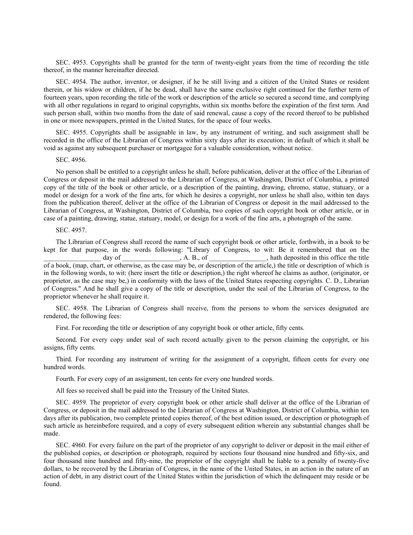SEC. 4953. Copyrights shall be granted for the term of twenty-eight years from the time of recording the title thereof, in the manner hereinafter directed.

SEC. 4954. The author, inventor, or designer, if he be still living and a citizen of the United States or resident therein, or his widow or children, if he be dead, shall have the same exclusive right continued for the further term of fourteen years, upon recording the title of the work or description of the article so secured a second time, and complying with all other regulations in regard to original copyrights, within six months before the expiration of the first term. And such person shall, within two months from the date of said renewal, cause a copy of the record thereof to be published in one or more newspapers, printed in the United States, for the space of four weeks.

SEC. 4955. Copyrights shall be assignable in law, by any instrument of writing, and such assignment shall be recorded in the office of the Librarian of Congress within sixty days after its execution; in default of which it shall be void as against any subsequent purchaser or mortgagee for a valuable consideration, without notice.

### SEC. 4956.

No person shall be entitled to a copyright unless he shall, before publication, deliver at the office of the Librarian of Congress or deposit in the mail addressed to the Librarian of Congress, at Washington, District of Columbia, a printed copy of the title of the book or other article, or a description of the painting, drawing, chromo, statue, statuary, or a model or design for a work of the fine arts, for which he desires a copyright, nor unless he shall also, within ten days from the publication thereof, deliver at the office of the Librarian of Congress or deposit in the mail addressed to the Librarian of Congress, at Washington, District of Columbia, two copies of such copyright book or other article, or in case of a painting, drawing, statue, statuary, model, or design for a work of the fine arts, a photograph of the same.

# SEC. 4957.

The Librarian of Congress shall record the name of such copyright book or other article, forthwith, in a book to be kept for that purpose, in the words following: ''Library of Congress, to wit: Be it remembered that on the day of  $A, B, \text{ of }$ , hath deposited in this office the title of a book, (map, chart, or otherwise, as the case may be, or description of the article,) the title or description of which is in the following words, to wit: (here insert the title or description,) the right whereof he claims as author, (originator, or proprietor, as the case may be,) in conformity with the laws of the United States respecting copyrights. C. D., Librarian of Congress.'' And he shall give a copy of the title or description, under the seal of the Librarian of Congress, to the proprietor whenever he shall require it.

SEC. 4958. The Librarian of Congress shall receive, from the persons to whom the services designated are rendered, the following fees:

First. For recording the title or description of any copyright book or other article, fifty cents.

Second. For every copy under seal of such record actually given to the person claiming the copyright, or his assigns, fifty cents.

Third. For recording any instrument of writing for the assignment of a copyright, fifteen cents for every one hundred words.

Fourth. For every copy of an assignment, ten cents for every one hundred words.

All fees so received shall be paid into the Treasury of the United States.

SEC. 4959. The proprietor of every copyright book or other article shall deliver at the office of the Librarian of Congress, or deposit in the mail addressed to the Librarian of Congress at Washington, District of Columbia, within ten days after its publication, two complete printed copies thereof, of the best edition issued, or description or photograph of such article as hereinbefore required, and a copy of every subsequent edition wherein any substantial changes shall be made.

SEC. 4960. For every failure on the part of the proprietor of any copyright to deliver or deposit in the mail either of the published copies, or description or photograph, required by sections four thousand nine hundred and fifty-six, and four thousand nine hundred and fifty-nine, the proprietor of the copyright shall be liable to a penalty of twenty-five dollars, to be recovered by the Librarian of Congress, in the name of the United States, in an action in the nature of an action of debt, in any district court of the United States within the jurisdiction of which the delinquent may reside or be found.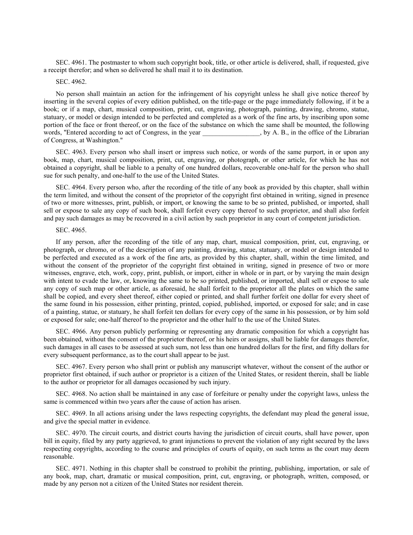SEC. 4961. The postmaster to whom such copyright book, title, or other article is delivered, shall, if requested, give a receipt therefor; and when so delivered he shall mail it to its destination.

# SEC. 4962.

No person shall maintain an action for the infringement of his copyright unless he shall give notice thereof by inserting in the several copies of every edition published, on the title-page or the page immediately following, if it be a book; or if a map, chart, musical composition, print, cut, engraving, photograph, painting, drawing, chromo, statue, statuary, or model or design intended to be perfected and completed as a work of the fine arts, by inscribing upon some portion of the face or front thereof, or on the face of the substance on which the same shall be mounted, the following words, "Entered according to act of Congress, in the year  $\qquad$ , by A. B., in the office of the Librarian of Congress, at Washington.''

SEC. 4963. Every person who shall insert or impress such notice, or words of the same purport, in or upon any book, map, chart, musical composition, print, cut, engraving, or photograph, or other article, for which he has not obtained a copyright, shall be liable to a penalty of one hundred dollars, recoverable one-half for the person who shall sue for such penalty, and one-half to the use of the United States.

SEC. 4964. Every person who, after the recording of the title of any book as provided by this chapter, shall within the term limited, and without the consent of the proprietor of the copyright first obtained in writing, signed in presence of two or more witnesses, print, publish, or import, or knowing the same to be so printed, published, or imported, shall sell or expose to sale any copy of such book, shall forfeit every copy thereof to such proprietor, and shall also forfeit and pay such damages as may be recovered in a civil action by such proprietor in any court of competent jurisdiction.

### SEC. 4965.

If any person, after the recording of the title of any map, chart, musical composition, print, cut, engraving, or photograph, or chromo, or of the description of any painting, drawing, statue, statuary, or model or design intended to be perfected and executed as a work of the fine arts, as provided by this chapter, shall, within the time limited, and without the consent of the proprietor of the copyright first obtained in writing, signed in presence of two or more witnesses, engrave, etch, work, copy, print, publish, or import, either in whole or in part, or by varying the main design with intent to evade the law, or, knowing the same to be so printed, published, or imported, shall sell or expose to sale any copy of such map or other article, as aforesaid, he shall forfeit to the proprietor all the plates on which the same shall be copied, and every sheet thereof, either copied or printed, and shall further forfeit one dollar for every sheet of the same found in his possession, either printing, printed, copied, published, imported, or exposed for sale; and in case of a painting, statue, or statuary, he shall forfeit ten dollars for every copy of the same in his possession, or by him sold or exposed for sale; one-half thereof to the proprietor and the other half to the use of the United States.

SEC. 4966. Any person publicly performing or representing any dramatic composition for which a copyright has been obtained, without the consent of the proprietor thereof, or his heirs or assigns, shall be liable for damages therefor, such damages in all cases to be assessed at such sum, not less than one hundred dollars for the first, and fifty dollars for every subsequent performance, as to the court shall appear to be just.

SEC. 4967. Every person who shall print or publish any manuscript whatever, without the consent of the author or proprietor first obtained, if such author or proprietor is a citizen of the United States, or resident therein, shall be liable to the author or proprietor for all damages occasioned by such injury.

SEC. 4968. No action shall be maintained in any case of forfeiture or penalty under the copyright laws, unless the same is commenced within two years after the cause of action has arisen.

SEC. 4969. In all actions arising under the laws respecting copyrights, the defendant may plead the general issue, and give the special matter in evidence.

SEC. 4970. The circuit courts, and district courts having the jurisdiction of circuit courts, shall have power, upon bill in equity, filed by any party aggrieved, to grant injunctions to prevent the violation of any right secured by the laws respecting copyrights, according to the course and principles of courts of equity, on such terms as the court may deem reasonable.

SEC. 4971. Nothing in this chapter shall be construed to prohibit the printing, publishing, importation, or sale of any book, map, chart, dramatic or musical composition, print, cut, engraving, or photograph, written, composed, or made by any person not a citizen of the United States nor resident therein.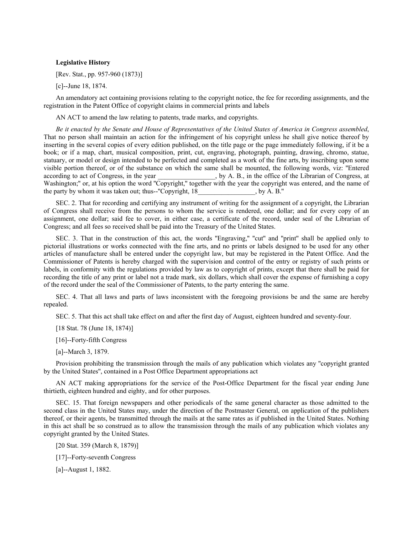# **Legislative History**

[Rev. Stat., pp. 957-960 (1873)]

[c]--June 18, 1874.

An amendatory act containing provisions relating to the copyright notice, the fee for recording assignments, and the registration in the Patent Office of copyright claims in commercial prints and labels

AN ACT to amend the law relating to patents, trade marks, and copyrights.

*Be it enacted by the Senate and House of Representatives of the United States of America in Congress assembled*, That no person shall maintain an action for the infringement of his copyright unless he shall give notice thereof by inserting in the several copies of every edition published, on the title page or the page immediately following, if it be a book; or if a map, chart, musical composition, print, cut, engraving, photograph, painting, drawing, chromo, statue, statuary, or model or design intended to be perfected and completed as a work of the fine arts, by inscribing upon some visible portion thereof, or of the substance on which the same shall be mounted, the following words, viz: ''Entered according to act of Congress, in the year \_\_\_\_\_\_\_\_\_\_\_\_, by A. B., in the office of the Librarian of Congress, at Washington;" or, at his option the word "Copyright," together with the year the copyright was entered, and the name of the party by whom it was taken out; thus--"Copyright, 18 by A. B."

SEC. 2. That for recording and certifying any instrument of writing for the assignment of a copyright, the Librarian of Congress shall receive from the persons to whom the service is rendered, one dollar; and for every copy of an assignment, one dollar; said fee to cover, in either case, a certificate of the record, under seal of the Librarian of Congress; and all fees so received shall be paid into the Treasury of the United States.

SEC. 3. That in the construction of this act, the words ''Engraving,'' ''cut'' and ''print'' shall be applied only to pictorial illustrations or works connected with the fine arts, and no prints or labels designed to be used for any other articles of manufacture shall be entered under the copyright law, but may be registered in the Patent Office. And the Commissioner of Patents is hereby charged with the supervision and control of the entry or registry of such prints or labels, in conformity with the regulations provided by law as to copyright of prints, except that there shall be paid for recording the title of any print or label not a trade mark, six dollars, which shall cover the expense of furnishing a copy of the record under the seal of the Commissioner of Patents, to the party entering the same.

SEC. 4. That all laws and parts of laws inconsistent with the foregoing provisions be and the same are hereby repealed.

SEC. 5. That this act shall take effect on and after the first day of August, eighteen hundred and seventy-four.

[18 Stat. 78 (June 18, 1874)]

[16]--Forty-fifth Congress

[a]--March 3, 1879.

Provision prohibiting the transmission through the mails of any publication which violates any ''copyright granted by the United States'', contained in a Post Office Department appropriations act

AN ACT making appropriations for the service of the Post-Office Department for the fiscal year ending June thirtieth, eighteen hundred and eighty, and for other purposes.

SEC. 15. That foreign newspapers and other periodicals of the same general character as those admitted to the second class in the United States may, under the direction of the Postmaster General, on application of the publishers thereof, or their agents, be transmitted through the mails at the same rates as if published in the United States. Nothing in this act shall be so construed as to allow the transmission through the mails of any publication which violates any copyright granted by the United States.

[20 Stat. 359 (March 8, 1879)]

[17]--Forty-seventh Congress

[a]--August 1, 1882.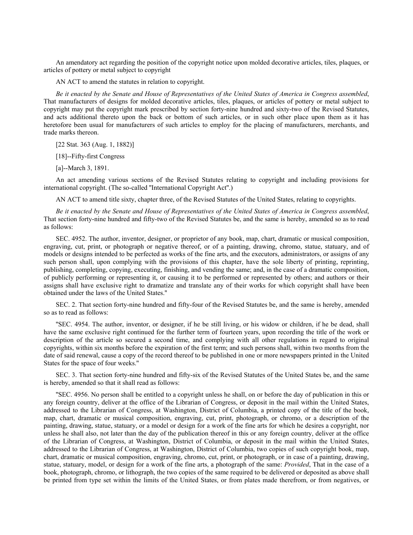An amendatory act regarding the position of the copyright notice upon molded decorative articles, tiles, plaques, or articles of pottery or metal subject to copyright

AN ACT to amend the statutes in relation to copyright.

*Be it enacted by the Senate and House of Representatives of the United States of America in Congress assembled*, That manufacturers of designs for molded decorative articles, tiles, plaques, or articles of pottery or metal subject to copyright may put the copyright mark prescribed by section forty-nine hundred and sixty-two of the Revised Statutes, and acts additional thereto upon the back or bottom of such articles, or in such other place upon them as it has heretofore been usual for manufacturers of such articles to employ for the placing of manufacturers, merchants, and trade marks thereon.

[22 Stat. 363 (Aug. 1, 1882)]

[18]--Fifty-first Congress

[a]--March 3, 1891.

An act amending various sections of the Revised Statutes relating to copyright and including provisions for international copyright. (The so-called ''International Copyright Act''.)

AN ACT to amend title sixty, chapter three, of the Revised Statutes of the United States, relating to copyrights.

*Be it enacted by the Senate and House of Representatives of the United States of America in Congress assembled*, That section forty-nine hundred and fifty-two of the Revised Statutes be, and the same is hereby, amended so as to read as follows:

SEC. 4952. The author, inventor, designer, or proprietor of any book, map, chart, dramatic or musical composition, engraving, cut, print, or photograph or negative thereof, or of a painting, drawing, chromo, statue, statuary, and of models or designs intended to be perfected as works of the fine arts, and the executors, administrators, or assigns of any such person shall, upon complying with the provisions of this chapter, have the sole liberty of printing, reprinting, publishing, completing, copying, executing, finishing, and vending the same; and, in the case of a dramatic composition, of publicly performing or representing it, or causing it to be performed or represented by others; and authors or their assigns shall have exclusive right to dramatize and translate any of their works for which copyright shall have been obtained under the laws of the United States.''

SEC. 2. That section forty-nine hundred and fifty-four of the Revised Statutes be, and the same is hereby, amended so as to read as follows:

''SEC. 4954. The author, inventor, or designer, if he be still living, or his widow or children, if he be dead, shall have the same exclusive right continued for the further term of fourteen years, upon recording the title of the work or description of the article so secured a second time, and complying with all other regulations in regard to original copyrights, within six months before the expiration of the first term; and such persons shall, within two months from the date of said renewal, cause a copy of the record thereof to be published in one or more newspapers printed in the United States for the space of four weeks.''

SEC. 3. That section forty-nine hundred and fifty-six of the Revised Statutes of the United States be, and the same is hereby, amended so that it shall read as follows:

''SEC. 4956. No person shall be entitled to a copyright unless he shall, on or before the day of publication in this or any foreign country, deliver at the office of the Librarian of Congress, or deposit in the mail within the United States, addressed to the Librarian of Congress, at Washington, District of Columbia, a printed copy of the title of the book, map, chart, dramatic or musical composition, engraving, cut, print, photograph, or chromo, or a description of the painting, drawing, statue, statuary, or a model or design for a work of the fine arts for which he desires a copyright, nor unless he shall also, not later than the day of the publication thereof in this or any foreign country, deliver at the office of the Librarian of Congress, at Washington, District of Columbia, or deposit in the mail within the United States, addressed to the Librarian of Congress, at Washington, District of Columbia, two copies of such copyright book, map, chart, dramatic or musical composition, engraving, chromo, cut, print, or photograph, or in case of a painting, drawing, statue, statuary, model, or design for a work of the fine arts, a photograph of the same: *Provided*, That in the case of a book, photograph, chromo, or lithograph, the two copies of the same required to be delivered or deposited as above shall be printed from type set within the limits of the United States, or from plates made therefrom, or from negatives, or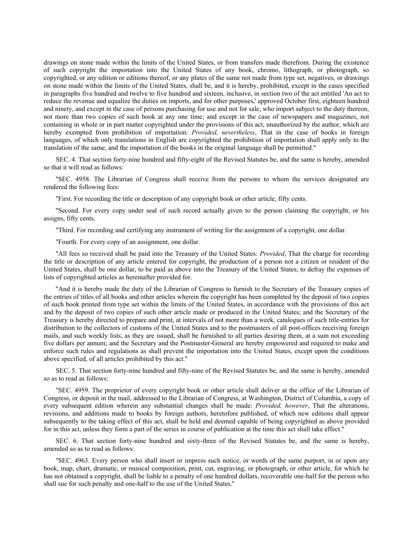drawings on stone made within the limits of the United States, or from transfers made therefrom. During the existence of such copyright the importation into the United States of any book, chromo, lithograph, or photograph, so copyrighted, or any edition or editions thereof, or any plates of the same not made from type set, negatives, or drawings on stone made within the limits of the United States, shall be, and it is hereby, prohibited, except in the cases specified in paragraphs five hundred and twelve to five hundred and sixteen, inclusive, in section two of the act entitled 'An act to reduce the revenue and equalize the duties on imports, and for other purposes,' approved October first, eighteen hundred and ninety, and except in the case of persons purchasing for use and not for sale, who import subject to the duty thereon, not more than two copies of such book at any one time; and except in the case of newspapers and magazines, not containing in whole or in part matter copyrighted under the provisions of this act, unauthorized by the author, which are hereby exempted from prohibition of importation: *Provided, nevertheless*, That in the case of books in foreign languages, of which only translations in English are copyrighted the prohibition of importation shall apply only to the translation of the same, and the importation of the books in the original language shall be permitted.''

SEC. 4. That section forty-nine hundred and fifty-eight of the Revised Statutes be, and the same is hereby, amended so that it will read as follows:

''SEC. 4958. The Librarian of Congress shall receive from the persons to whom the services designated are rendered the following fees:

''First. For recording the title or description of any copyright book or other article, fifty cents.

''Second. For every copy under seal of such record actually given to the person claiming the copyright, or his assigns, fifty cents.

''Third. For recording and certifying any instrument of writing for the assignment of a copyright, one dollar.

''Fourth. For every copy of an assignment, one dollar.

''All fees so received shall be paid into the Treasury of the United States: *Provided*, That the charge for recording the title or description of any article entered for copyright, the production of a person not a citizen or resident of the United States, shall be one dollar, to be paid as above into the Treasury of the United States, to defray the expenses of lists of copyrighted articles as hereinafter provided for.

''And it is hereby made the duty of the Librarian of Congress to furnish to the Secretary of the Treasury copies of the entries of titles of all books and other articles wherein the copyright has been completed by the deposit of two copies of such book printed from type set within the limits of the United States, in accordance with the provisions of this act and by the deposit of two copies of such other article made or produced in the United States; and the Secretary of the Treasury is hereby directed to prepare and print, at intervals of not more than a week, catalogues of such title-entries for distribution to the collectors of customs of the United States and to the postmasters of all post-offices receiving foreign mails, and such weekly lists, as they are issued, shall be furnished to all parties desiring them, at a sum not exceeding five dollars per annum; and the Secretary and the Postmaster-General are hereby empowered and required to make and enforce such rules and regulations as shall prevent the importation into the United States, except upon the conditions above specified, of all articles prohibited by this act.''

SEC. 5. That section forty-nine hundred and fifty-nine of the Revised Statutes be, and the same is hereby, amended so as to read as follows:

''SEC. 4959. The proprietor of every copyright book or other article shall deliver at the office of the Librarian of Congress, or deposit in the mail, addressed to the Librarian of Congress, at Washington, District of Columbia, a copy of every subsequent edition wherein any substantial changes shall be made: *Provided, however*, That the alterations, revisions, and additions made to books by foreign authors, heretofore published, of which new editions shall appear subsequently to the taking effect of this act, shall be held and deemed capable of being copyrighted as above provided for in this act, unless they form a part of the series in course of publication at the time this act shall take effect.''

SEC. 6. That section forty-nine hundred and sixty-three of the Revised Statutes be, and the same is hereby, amended so as to read as follows:

''SEC. 4963. Every person who shall insert or impress such notice, or words of the same purport, in or upon any book, map, chart, dramatic, or musical composition, print, cut, engraving, or photograph, or other article, for which he has not obtained a copyright, shall be liable to a penalty of one hundred dollars, recoverable one-half for the person who shall sue for such penalty and one-half to the use of the United States.''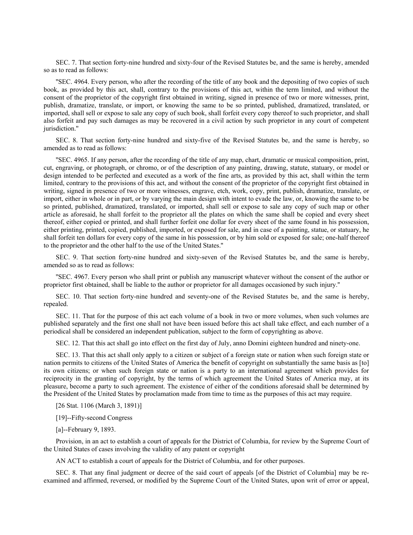SEC. 7. That section forty-nine hundred and sixty-four of the Revised Statutes be, and the same is hereby, amended so as to read as follows:

''SEC. 4964. Every person, who after the recording of the title of any book and the depositing of two copies of such book, as provided by this act, shall, contrary to the provisions of this act, within the term limited, and without the consent of the proprietor of the copyright first obtained in writing, signed in presence of two or more witnesses, print, publish, dramatize, translate, or import, or knowing the same to be so printed, published, dramatized, translated, or imported, shall sell or expose to sale any copy of such book, shall forfeit every copy thereof to such proprietor, and shall also forfeit and pay such damages as may be recovered in a civil action by such proprietor in any court of competent jurisdiction.''

SEC. 8. That section forty-nine hundred and sixty-five of the Revised Statutes be, and the same is hereby, so amended as to read as follows:

''SEC. 4965. If any person, after the recording of the title of any map, chart, dramatic or musical composition, print, cut, engraving, or photograph, or chromo, or of the description of any painting, drawing, statute, statuary, or model or design intended to be perfected and executed as a work of the fine arts, as provided by this act, shall within the term limited, contrary to the provisions of this act, and without the consent of the proprietor of the copyright first obtained in writing, signed in presence of two or more witnesses, engrave, etch, work, copy, print, publish, dramatize, translate, or import, either in whole or in part, or by varying the main design with intent to evade the law, or, knowing the same to be so printed, published, dramatized, translated, or imported, shall sell or expose to sale any copy of such map or other article as aforesaid, he shall forfeit to the proprietor all the plates on which the same shall be copied and every sheet thereof, either copied or printed, and shall further forfeit one dollar for every sheet of the same found in his possession, either printing, printed, copied, published, imported, or exposed for sale, and in case of a painting, statue, or statuary, he shall forfeit ten dollars for every copy of the same in his possession, or by him sold or exposed for sale; one-half thereof to the proprietor and the other half to the use of the United States.''

SEC. 9. That section forty-nine hundred and sixty-seven of the Revised Statutes be, and the same is hereby, amended so as to read as follows:

''SEC. 4967. Every person who shall print or publish any manuscript whatever without the consent of the author or proprietor first obtained, shall be liable to the author or proprietor for all damages occasioned by such injury.''

SEC. 10. That section forty-nine hundred and seventy-one of the Revised Statutes be, and the same is hereby, repealed.

SEC. 11. That for the purpose of this act each volume of a book in two or more volumes, when such volumes are published separately and the first one shall not have been issued before this act shall take effect, and each number of a periodical shall be considered an independent publication, subject to the form of copyrighting as above.

SEC. 12. That this act shall go into effect on the first day of July, anno Domini eighteen hundred and ninety-one.

SEC. 13. That this act shall only apply to a citizen or subject of a foreign state or nation when such foreign state or nation permits to citizens of the United States of America the benefit of copyright on substantially the same basis as [to] its own citizens; or when such foreign state or nation is a party to an international agreement which provides for reciprocity in the granting of copyright, by the terms of which agreement the United States of America may, at its pleasure, become a party to such agreement. The existence of either of the conditions aforesaid shall be determined by the President of the United States by proclamation made from time to time as the purposes of this act may require.

[26 Stat. 1106 (March 3, 1891)]

[19]--Fifty-second Congress

[a]--February 9, 1893.

Provision, in an act to establish a court of appeals for the District of Columbia, for review by the Supreme Court of the United States of cases involving the validity of any patent or copyright

AN ACT to establish a court of appeals for the District of Columbia, and for other purposes.

SEC. 8. That any final judgment or decree of the said court of appeals [of the District of Columbia] may be reexamined and affirmed, reversed, or modified by the Supreme Court of the United States, upon writ of error or appeal,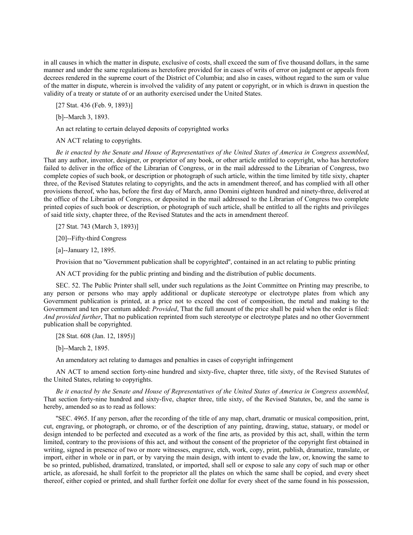in all causes in which the matter in dispute, exclusive of costs, shall exceed the sum of five thousand dollars, in the same manner and under the same regulations as heretofore provided for in cases of writs of error on judgment or appeals from decrees rendered in the supreme court of the District of Columbia; and also in cases, without regard to the sum or value of the matter in dispute, wherein is involved the validity of any patent or copyright, or in which is drawn in question the validity of a treaty or statute of or an authority exercised under the United States.

[27 Stat. 436 (Feb. 9, 1893)]

[b]--March 3, 1893.

An act relating to certain delayed deposits of copyrighted works

AN ACT relating to copyrights.

*Be it enacted by the Senate and House of Representatives of the United States of America in Congress assembled*, That any author, inventor, designer, or proprietor of any book, or other article entitled to copyright, who has heretofore failed to deliver in the office of the Librarian of Congress, or in the mail addressed to the Librarian of Congress, two complete copies of such book, or description or photograph of such article, within the time limited by title sixty, chapter three, of the Revised Statutes relating to copyrights, and the acts in amendment thereof, and has complied with all other provisions thereof, who has, before the first day of March, anno Domini eighteen hundred and ninety-three, delivered at the office of the Librarian of Congress, or deposited in the mail addressed to the Librarian of Congress two complete printed copies of such book or description, or photograph of such article, shall be entitled to all the rights and privileges of said title sixty, chapter three, of the Revised Statutes and the acts in amendment thereof.

[27 Stat. 743 (March 3, 1893)]

[20]--Fifty-third Congress

[a]--January 12, 1895.

Provision that no ''Government publication shall be copyrighted'', contained in an act relating to public printing

AN ACT providing for the public printing and binding and the distribution of public documents.

SEC. 52. The Public Printer shall sell, under such regulations as the Joint Committee on Printing may prescribe, to any person or persons who may apply additional or duplicate stereotype or electrotype plates from which any Government publication is printed, at a price not to exceed the cost of composition, the metal and making to the Government and ten per centum added: *Provided*, That the full amount of the price shall be paid when the order is filed: *And provided further*, That no publication reprinted from such stereotype or electrotype plates and no other Government publication shall be copyrighted.

[28 Stat. 608 (Jan. 12, 1895)]

[b]--March 2, 1895.

An amendatory act relating to damages and penalties in cases of copyright infringement

AN ACT to amend section forty-nine hundred and sixty-five, chapter three, title sixty, of the Revised Statutes of the United States, relating to copyrights.

*Be it enacted by the Senate and House of Representatives of the United States of America in Congress assembled*, That section forty-nine hundred and sixty-five, chapter three, title sixty, of the Revised Statutes, be, and the same is hereby, amended so as to read as follows:

''SEC. 4965. If any person, after the recording of the title of any map, chart, dramatic or musical composition, print, cut, engraving, or photograph, or chromo, or of the description of any painting, drawing, statue, statuary, or model or design intended to be perfected and executed as a work of the fine arts, as provided by this act, shall, within the term limited, contrary to the provisions of this act, and without the consent of the proprietor of the copyright first obtained in writing, signed in presence of two or more witnesses, engrave, etch, work, copy, print, publish, dramatize, translate, or import, either in whole or in part, or by varying the main design, with intent to evade the law, or, knowing the same to be so printed, published, dramatized, translated, or imported, shall sell or expose to sale any copy of such map or other article, as aforesaid, he shall forfeit to the proprietor all the plates on which the same shall be copied, and every sheet thereof, either copied or printed, and shall further forfeit one dollar for every sheet of the same found in his possession,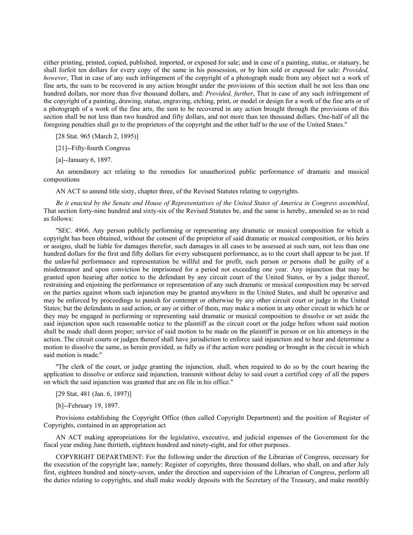either printing, printed, copied, published, imported, or exposed for sale; and in case of a painting, statue, or statuary, he shall forfeit ten dollars for every copy of the same in his possession, or by him sold or exposed for sale: *Provided, however*, That in case of any such infringement of the copyright of a photograph made from any object not a work of fine arts, the sum to be recovered in any action brought under the provisions of this section shall be not less than one hundred dollars, nor more than five thousand dollars, and: *Provided, further*, That in case of any such infringement of the copyright of a painting, drawing, statue, engraving, etching, print, or model or design for a work of the fine arts or of a photograph of a work of the fine arts, the sum to be recovered in any action brought through the provisions of this section shall be not less than two hundred and fifty dollars, and not more than ten thousand dollars. One-half of all the foregoing penalties shall go to the proprietors of the copyright and the other half to the use of the United States.''

[28 Stat. 965 (March 2, 1895)]

[21]--Fifty-fourth Congress

[a]--January 6, 1897.

An amendatory act relating to the remedies for unauthorized public performance of dramatic and musical compositions

AN ACT to amend title sixty, chapter three, of the Revised Statutes relating to copyrights.

*Be it enacted by the Senate and House of Representatives of the United States of America in Congress assembled*, That section forty-nine hundred and sixty-six of the Revised Statutes be, and the same is hereby, amended so as to read as follows:

''SEC. 4966. Any person publicly performing or representing any dramatic or musical composition for which a copyright has been obtained, without the consent of the proprietor of said dramatic or musical composition, or his heirs or assigns, shall be liable for damages therefor, such damages in all cases to be assessed at such sum, not less than one hundred dollars for the first and fifty dollars for every subsequent performance, as to the court shall appear to be just. If the unlawful performance and representation be willful and for profit, such person or persons shall be guilty of a misdemeanor and upon conviction be imprisoned for a period not exceeding one year. Any injunction that may be granted upon hearing after notice to the defendant by any circuit court of the United States, or by a judge thereof, restraining and enjoining the performance or representation of any such dramatic or musical composition may be served on the parties against whom such injunction may be granted anywhere in the United States, and shall be operative and may be enforced by proceedings to punish for contempt or otherwise by any other circuit court or judge in the United States; but the defendants in said action, or any or either of them, may make a motion in any other circuit in which he or they may be engaged in performing or representing said dramatic or musical composition to dissolve or set aside the said injunction upon such reasonable notice to the plaintiff as the circuit court or the judge before whom said motion shall be made shall deem proper; service of said motion to be made on the plaintiff in person or on his attorneys in the action. The circuit courts or judges thereof shall have jurisdiction to enforce said injunction and to hear and determine a motion to dissolve the same, as herein provided, as fully as if the action were pending or brought in the circuit in which said motion is made.''

''The clerk of the court, or judge granting the injunction, shall, when required to do so by the court hearing the application to dissolve or enforce said injunction, transmit without delay to said court a certified copy of all the papers on which the said injunction was granted that are on file in his office.''

[29 Stat. 481 (Jan. 6, 1897)]

[b]--February 19, 1897.

Provisions establishing the Copyright Office (then called Copyright Department) and the position of Register of Copyrights, contained in an appropriation act

AN ACT making appropriations for the legislative, executive, and judicial expenses of the Government for the fiscal year ending June thirtieth, eighteen hundred and ninety-eight, and for other purposes.

COPYRIGHT DEPARTMENT: For the following under the direction of the Librarian of Congress, necessary for the execution of the copyright law, namely: Register of copyrights, three thousand dollars, who shall, on and after July first, eighteen hundred and ninety-seven, under the direction and supervision of the Librarian of Congress, perform all the duties relating to copyrights, and shall make weekly deposits with the Secretary of the Treasury, and make monthly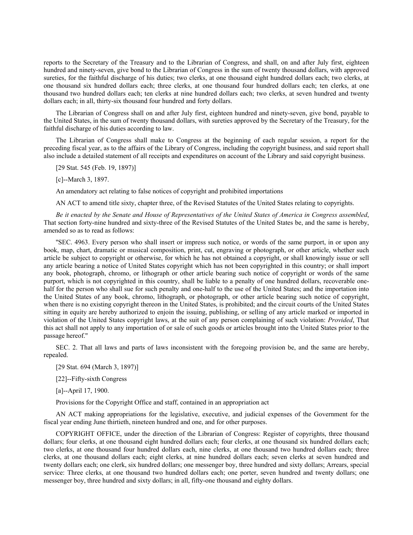reports to the Secretary of the Treasury and to the Librarian of Congress, and shall, on and after July first, eighteen hundred and ninety-seven, give bond to the Librarian of Congress in the sum of twenty thousand dollars, with approved sureties, for the faithful discharge of his duties; two clerks, at one thousand eight hundred dollars each; two clerks, at one thousand six hundred dollars each; three clerks, at one thousand four hundred dollars each; ten clerks, at one thousand two hundred dollars each; ten clerks at nine hundred dollars each; two clerks, at seven hundred and twenty dollars each; in all, thirty-six thousand four hundred and forty dollars.

The Librarian of Congress shall on and after July first, eighteen hundred and ninety-seven, give bond, payable to the United States, in the sum of twenty thousand dollars, with sureties approved by the Secretary of the Treasury, for the faithful discharge of his duties according to law.

The Librarian of Congress shall make to Congress at the beginning of each regular session, a report for the preceding fiscal year, as to the affairs of the Library of Congress, including the copyright business, and said report shall also include a detailed statement of all receipts and expenditures on account of the Library and said copyright business.

[29 Stat. 545 (Feb. 19, 1897)]

[c]--March 3, 1897.

An amendatory act relating to false notices of copyright and prohibited importations

AN ACT to amend title sixty, chapter three, of the Revised Statutes of the United States relating to copyrights.

*Be it enacted by the Senate and House of Representatives of the United States of America in Congress assembled*, That section forty-nine hundred and sixty-three of the Revised Statutes of the United States be, and the same is hereby, amended so as to read as follows:

''SEC. 4963. Every person who shall insert or impress such notice, or words of the same purport, in or upon any book, map, chart, dramatic or musical composition, print, cut, engraving or photograph, or other article, whether such article be subject to copyright or otherwise, for which he has not obtained a copyright, or shall knowingly issue or sell any article bearing a notice of United States copyright which has not been copyrighted in this country; or shall import any book, photograph, chromo, or lithograph or other article bearing such notice of copyright or words of the same purport, which is not copyrighted in this country, shall be liable to a penalty of one hundred dollars, recoverable onehalf for the person who shall sue for such penalty and one-half to the use of the United States; and the importation into the United States of any book, chromo, lithograph, or photograph, or other article bearing such notice of copyright, when there is no existing copyright thereon in the United States, is prohibited; and the circuit courts of the United States sitting in equity are hereby authorized to enjoin the issuing, publishing, or selling of any article marked or imported in violation of the United States copyright laws, at the suit of any person complaining of such violation: *Provided*, That this act shall not apply to any importation of or sale of such goods or articles brought into the United States prior to the passage hereof.''

SEC. 2. That all laws and parts of laws inconsistent with the foregoing provision be, and the same are hereby, repealed.

[29 Stat. 694 (March 3, 1897)]

[22]--Fifty-sixth Congress

[a]--April 17, 1900.

Provisions for the Copyright Office and staff, contained in an appropriation act

AN ACT making appropriations for the legislative, executive, and judicial expenses of the Government for the fiscal year ending June thirtieth, nineteen hundred and one, and for other purposes.

COPYRIGHT OFFICE, under the direction of the Librarian of Congress: Register of copyrights, three thousand dollars; four clerks, at one thousand eight hundred dollars each; four clerks, at one thousand six hundred dollars each; two clerks, at one thousand four hundred dollars each, nine clerks, at one thousand two hundred dollars each; three clerks, at one thousand dollars each; eight clerks, at nine hundred dollars each; seven clerks at seven hundred and twenty dollars each; one clerk, six hundred dollars; one messenger boy, three hundred and sixty dollars; Arrears, special service: Three clerks, at one thousand two hundred dollars each; one porter, seven hundred and twenty dollars; one messenger boy, three hundred and sixty dollars; in all, fifty-one thousand and eighty dollars.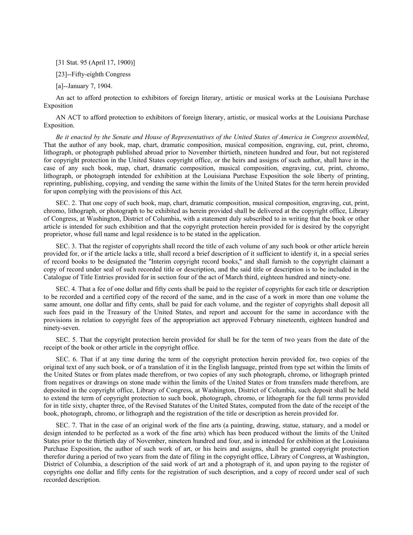[31 Stat. 95 (April 17, 1900)]

[23]--Fifty-eighth Congress

[a]--January 7, 1904.

An act to afford protection to exhibitors of foreign literary, artistic or musical works at the Louisiana Purchase Exposition

AN ACT to afford protection to exhibitors of foreign literary, artistic, or musical works at the Louisiana Purchase Exposition.

*Be it enacted by the Senate and House of Representatives of the United States of America in Congress assembled*, That the author of any book, map, chart, dramatic composition, musical composition, engraving, cut, print, chromo, lithograph, or photograph published abroad prior to November thirtieth, nineteen hundred and four, but not registered for copyright protection in the United States copyright office, or the heirs and assigns of such author, shall have in the case of any such book, map, chart, dramatic composition, musical composition, engraving, cut, print, chromo, lithograph, or photograph intended for exhibition at the Louisiana Purchase Exposition the sole liberty of printing, reprinting, publishing, copying, and vending the same within the limits of the United States for the term herein provided for upon complying with the provisions of this Act.

SEC. 2. That one copy of such book, map, chart, dramatic composition, musical composition, engraving, cut, print, chromo, lithograph, or photograph to be exhibited as herein provided shall be delivered at the copyright office, Library of Congress, at Washington, District of Columbia, with a statement duly subscribed to in writing that the book or other article is intended for such exhibition and that the copyright protection herein provided for is desired by the copyright proprietor, whose full name and legal residence is to be stated in the application.

SEC. 3. That the register of copyrights shall record the title of each volume of any such book or other article herein provided for, or if the article lacks a title, shall record a brief description of it sufficient to identify it, in a special series of record books to be designated the ''Interim copyright record books,'' and shall furnish to the copyright claimant a copy of record under seal of such recorded title or description, and the said title or description is to be included in the Catalogue of Title Entries provided for in section four of the act of March third, eighteen hundred and ninety-one.

SEC. 4. That a fee of one dollar and fifty cents shall be paid to the register of copyrights for each title or description to be recorded and a certified copy of the record of the same, and in the case of a work in more than one volume the same amount, one dollar and fifty cents, shall be paid for each volume, and the register of copyrights shall deposit all such fees paid in the Treasury of the United States, and report and account for the same in accordance with the provisions in relation to copyright fees of the appropriation act approved February nineteenth, eighteen hundred and ninety-seven.

SEC. 5. That the copyright protection herein provided for shall be for the term of two years from the date of the receipt of the book or other article in the copyright office.

SEC. 6. That if at any time during the term of the copyright protection herein provided for, two copies of the original text of any such book, or of a translation of it in the English language, printed from type set within the limits of the United States or from plates made therefrom, or two copies of any such photograph, chromo, or lithograph printed from negatives or drawings on stone made within the limits of the United States or from transfers made therefrom, are deposited in the copyright office, Library of Congress, at Washington, District of Columbia, such deposit shall be held to extend the term of copyright protection to such book, photograph, chromo, or lithograph for the full terms provided for in title sixty, chapter three, of the Revised Statutes of the United States, computed from the date of the receipt of the book, photograph, chromo, or lithograph and the registration of the title or description as herein provided for.

SEC. 7. That in the case of an original work of the fine arts (a painting, drawing, statue, statuary, and a model or design intended to be perfected as a work of the fine arts) which has been produced without the limits of the United States prior to the thirtieth day of November, nineteen hundred and four, and is intended for exhibition at the Louisiana Purchase Exposition, the author of such work of art, or his heirs and assigns, shall be granted copyright protection therefor during a period of two years from the date of filing in the copyright office, Library of Congress, at Washington, District of Columbia, a description of the said work of art and a photograph of it, and upon paying to the register of copyrights one dollar and fifty cents for the registration of such description, and a copy of record under seal of such recorded description.